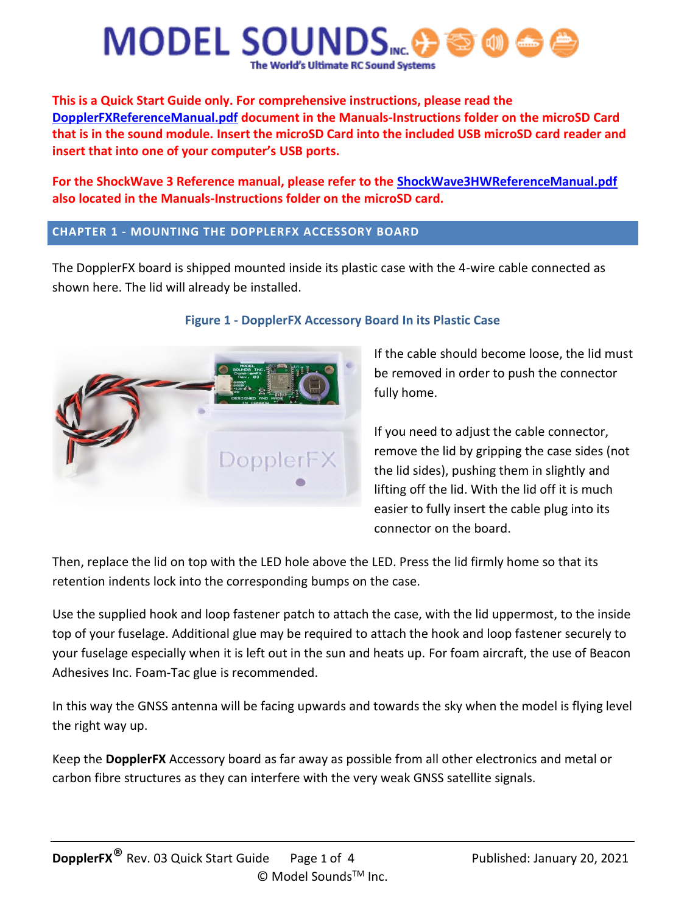# **MODEL SOUNDS** World's Ultimate RC Sound Systems

**This is a Quick Start Guide only. For comprehensive instructions, please read the DopplerFXReferenceManual.pdf document in the Manuals-Instructions folder on the microSD Card that is in the sound module. Insert the microSD Card into the included USB microSD card reader and insert that into one of your computer's USB ports.**

**For the ShockWave 3 Reference manual, please refer to the ShockWave3HWReferenceManual.pdf also located in the Manuals-Instructions folder on the microSD card.**

# **CHAPTER 1 - MOUNTING THE DOPPLERFX ACCESSORY BOARD**

The DopplerFX board is shipped mounted inside its plastic case with the 4-wire cable connected as shown here. The lid will already be installed.



# **Figure 1 - DopplerFX Accessory Board In its Plastic Case**

If the cable should become loose, the lid must be removed in order to push the connector fully home.

If you need to adjust the cable connector, remove the lid by gripping the case sides (not the lid sides), pushing them in slightly and lifting off the lid. With the lid off it is much easier to fully insert the cable plug into its connector on the board.

Then, replace the lid on top with the LED hole above the LED. Press the lid firmly home so that its retention indents lock into the corresponding bumps on the case.

Use the supplied hook and loop fastener patch to attach the case, with the lid uppermost, to the inside top of your fuselage. Additional glue may be required to attach the hook and loop fastener securely to your fuselage especially when it is left out in the sun and heats up. For foam aircraft, the use of Beacon Adhesives Inc. Foam-Tac glue is recommended.

In this way the GNSS antenna will be facing upwards and towards the sky when the model is flying level the right way up.

Keep the **DopplerFX** Accessory board as far away as possible from all other electronics and metal or carbon fibre structures as they can interfere with the very weak GNSS satellite signals.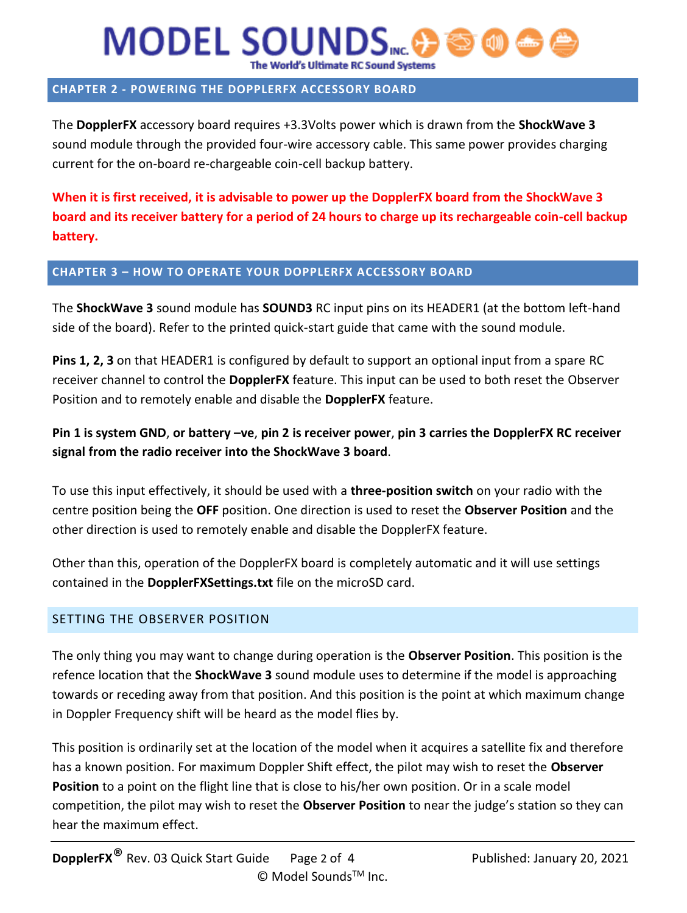# **MODEL SOUNDS** The World's Ultimate RC Sound Systems

### **CHAPTER 2 - POWERING THE DOPPLERFX ACCESSORY BOARD**

The **DopplerFX** accessory board requires +3.3Volts power which is drawn from the **ShockWave 3** sound module through the provided four-wire accessory cable. This same power provides charging current for the on-board re-chargeable coin-cell backup battery.

**When it is first received, it is advisable to power up the DopplerFX board from the ShockWave 3 board and its receiver battery for a period of 24 hours to charge up its rechargeable coin-cell backup battery.**

### **CHAPTER 3 – HOW TO OPERATE YOUR DOPPLERFX ACCESSORY BOARD**

The **ShockWave 3** sound module has **SOUND3** RC input pins on its HEADER1 (at the bottom left-hand side of the board). Refer to the printed quick-start guide that came with the sound module.

**Pins 1, 2, 3** on that HEADER1 is configured by default to support an optional input from a spare RC receiver channel to control the **DopplerFX** feature. This input can be used to both reset the Observer Position and to remotely enable and disable the **DopplerFX** feature.

**Pin 1 is system GND**, **or battery –ve**, **pin 2 is receiver power**, **pin 3 carries the DopplerFX RC receiver signal from the radio receiver into the ShockWave 3 board**.

To use this input effectively, it should be used with a **three-position switch** on your radio with the centre position being the **OFF** position. One direction is used to reset the **Observer Position** and the other direction is used to remotely enable and disable the DopplerFX feature.

Other than this, operation of the DopplerFX board is completely automatic and it will use settings contained in the **DopplerFXSettings.txt** file on the microSD card.

### SETTING THE OBSERVER POSITION

The only thing you may want to change during operation is the **Observer Position**. This position is the refence location that the **ShockWave 3** sound module uses to determine if the model is approaching towards or receding away from that position. And this position is the point at which maximum change in Doppler Frequency shift will be heard as the model flies by.

This position is ordinarily set at the location of the model when it acquires a satellite fix and therefore has a known position. For maximum Doppler Shift effect, the pilot may wish to reset the **Observer Position** to a point on the flight line that is close to his/her own position. Or in a scale model competition, the pilot may wish to reset the **Observer Position** to near the judge's station so they can hear the maximum effect.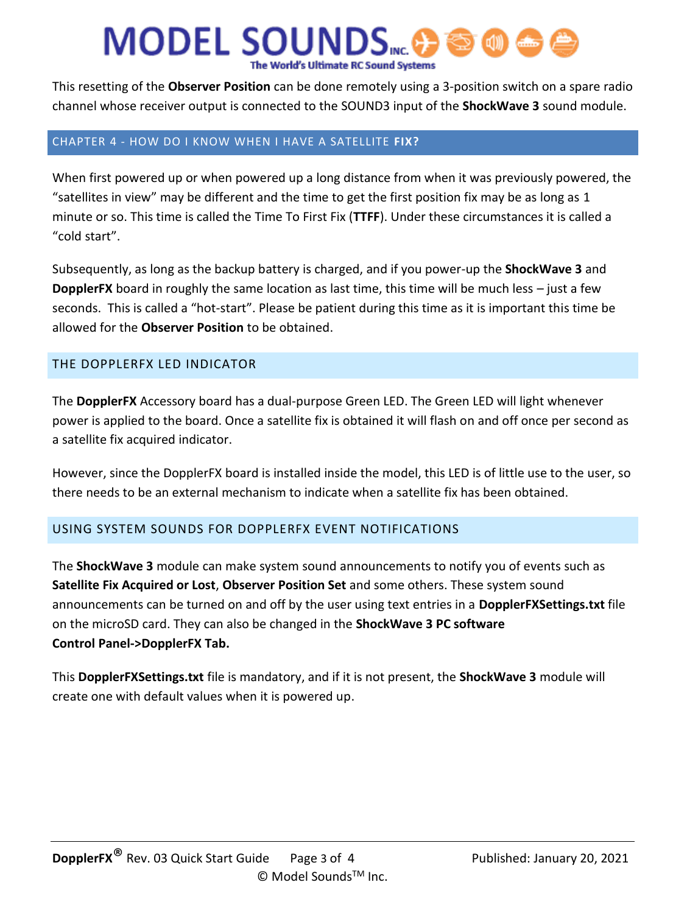# **MODEL SOUNDS** The World's Ultimate RC Sound Systems

This resetting of the **Observer Position** can be done remotely using a 3-position switch on a spare radio channel whose receiver output is connected to the SOUND3 input of the **ShockWave 3** sound module.

#### CHAPTER 4 - HOW DO I KNOW WHEN I HAVE A SATELLITE **FIX?**

When first powered up or when powered up a long distance from when it was previously powered, the "satellites in view" may be different and the time to get the first position fix may be as long as 1 minute or so. This time is called the Time To First Fix (**TTFF**). Under these circumstances it is called a "cold start".

Subsequently, as long as the backup battery is charged, and if you power-up the **ShockWave 3** and **DopplerFX** board in roughly the same location as last time, this time will be much less – just a few seconds. This is called a "hot-start". Please be patient during this time as it is important this time be allowed for the **Observer Position** to be obtained.

# THE DOPPLERFX LED INDICATOR

The **DopplerFX** Accessory board has a dual-purpose Green LED. The Green LED will light whenever power is applied to the board. Once a satellite fix is obtained it will flash on and off once per second as a satellite fix acquired indicator.

However, since the DopplerFX board is installed inside the model, this LED is of little use to the user, so there needs to be an external mechanism to indicate when a satellite fix has been obtained.

### USING SYSTEM SOUNDS FOR DOPPLERFX EVENT NOTIFICATIONS

The **ShockWave 3** module can make system sound announcements to notify you of events such as **Satellite Fix Acquired or Lost**, **Observer Position Set** and some others. These system sound announcements can be turned on and off by the user using text entries in a **DopplerFXSettings.txt** file on the microSD card. They can also be changed in the **ShockWave 3 PC software Control Panel->DopplerFX Tab.**

This **DopplerFXSettings.txt** file is mandatory, and if it is not present, the **ShockWave 3** module will create one with default values when it is powered up.